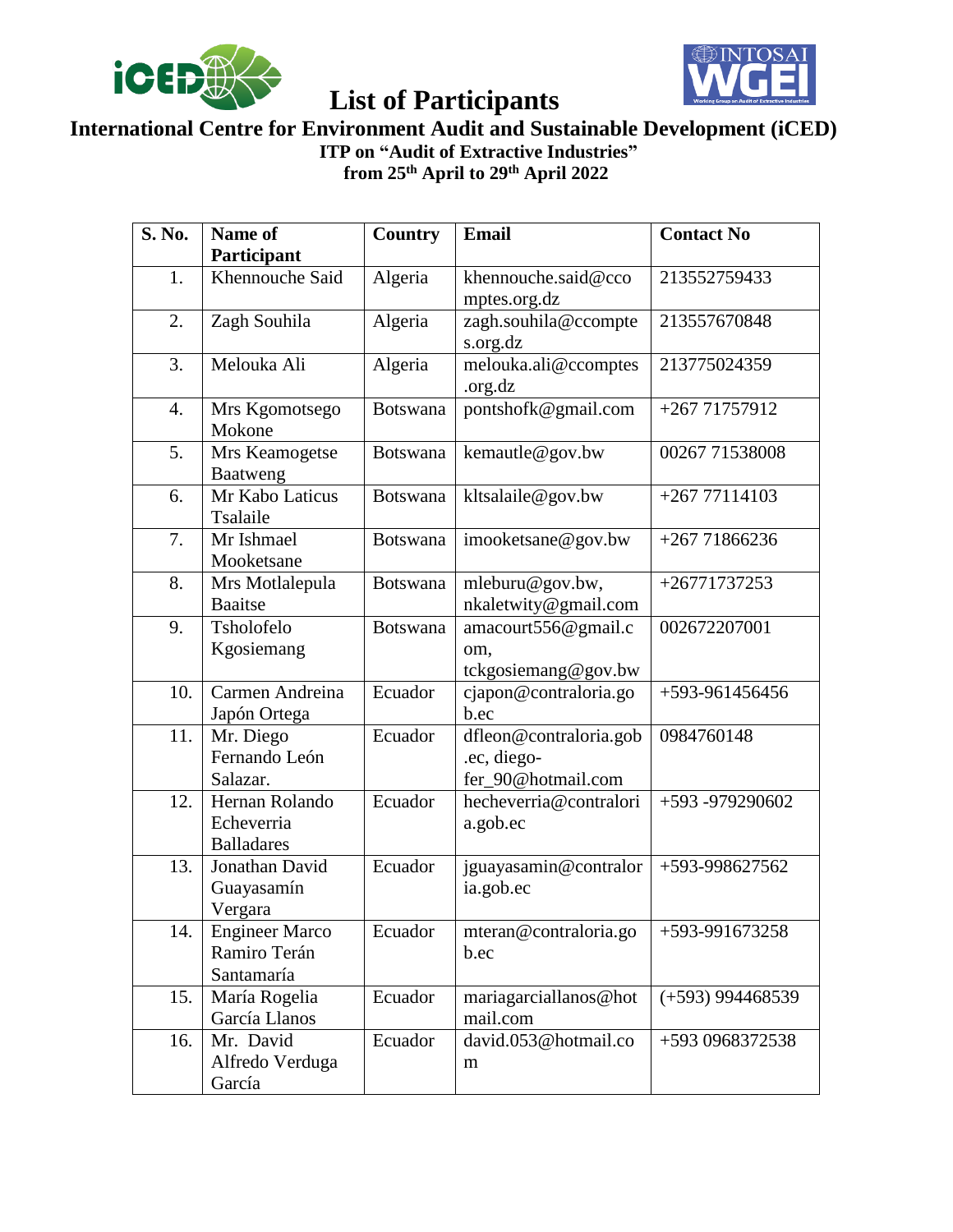



#### **International Centre for Environment Audit and Sustainable Development (iCED) ITP on "Audit of Extractive Industries"**

**from 25th April to 29th April 2022**

| S. No. | Name of<br>Participant                              | Country         | <b>Email</b>                                                | <b>Contact No</b>  |
|--------|-----------------------------------------------------|-----------------|-------------------------------------------------------------|--------------------|
| 1.     | Khennouche Said                                     | Algeria         | khennouche.said@cco<br>mptes.org.dz                         | 213552759433       |
| 2.     | Zagh Souhila                                        | Algeria         | zagh.souhila@ccompte<br>s.org.dz                            | 213557670848       |
| 3.     | Melouka Ali                                         | Algeria         | melouka.ali@ccomptes<br>.org.dz                             | 213775024359       |
| 4.     | Mrs Kgomotsego<br>Mokone                            | <b>Botswana</b> | pontshofk@gmail.com                                         | $+26771757912$     |
| 5.     | Mrs Keamogetse<br>Baatweng                          | <b>Botswana</b> | kemautle@gov.bw                                             | 00267 71538008     |
| 6.     | Mr Kabo Laticus<br>Tsalaile                         | <b>Botswana</b> | kltsalaile@gov.bw                                           | $+26777114103$     |
| 7.     | Mr Ishmael<br>Mooketsane                            | <b>Botswana</b> | imooketsane@gov.bw                                          | $+26771866236$     |
| 8.     | Mrs Motlalepula<br><b>Baaitse</b>                   | Botswana        | mleburu@gov.bw,<br>nkaletwity@gmail.com                     | $+26771737253$     |
| 9.     | Tsholofelo<br>Kgosiemang                            | Botswana        | amacourt556@gmail.c<br>om,<br>tckgosiemang@gov.bw           | 002672207001       |
| 10.    | Carmen Andreina<br>Japón Ortega                     | Ecuador         | cjapon@contraloria.go<br>b.ec                               | +593-961456456     |
| 11.    | Mr. Diego<br>Fernando León<br>Salazar.              | Ecuador         | dfleon@contraloria.gob<br>.ec, diego-<br>fer_90@hotmail.com | 0984760148         |
| 12.    | Hernan Rolando<br>Echeverria<br><b>Balladares</b>   | Ecuador         | hecheverria@contralori<br>a.gob.ec                          | +593 -979290602    |
| 13.    | Jonathan David<br>Guayasamín<br>Vergara             | Ecuador         | jguayasamin@contralor<br>ia.gob.ec                          | +593-998627562     |
| 14.    | <b>Engineer Marco</b><br>Ramiro Terán<br>Santamaría | Ecuador         | mteran@contraloria.go<br>b.ec                               | +593-991673258     |
| 15.    | María Rogelia<br>García Llanos                      | Ecuador         | mariagarciallanos@hot<br>mail.com                           | $(+593)$ 994468539 |
| 16.    | Mr. David<br>Alfredo Verduga<br>García              | Ecuador         | david.053@hotmail.co<br>m                                   | +593 0968372538    |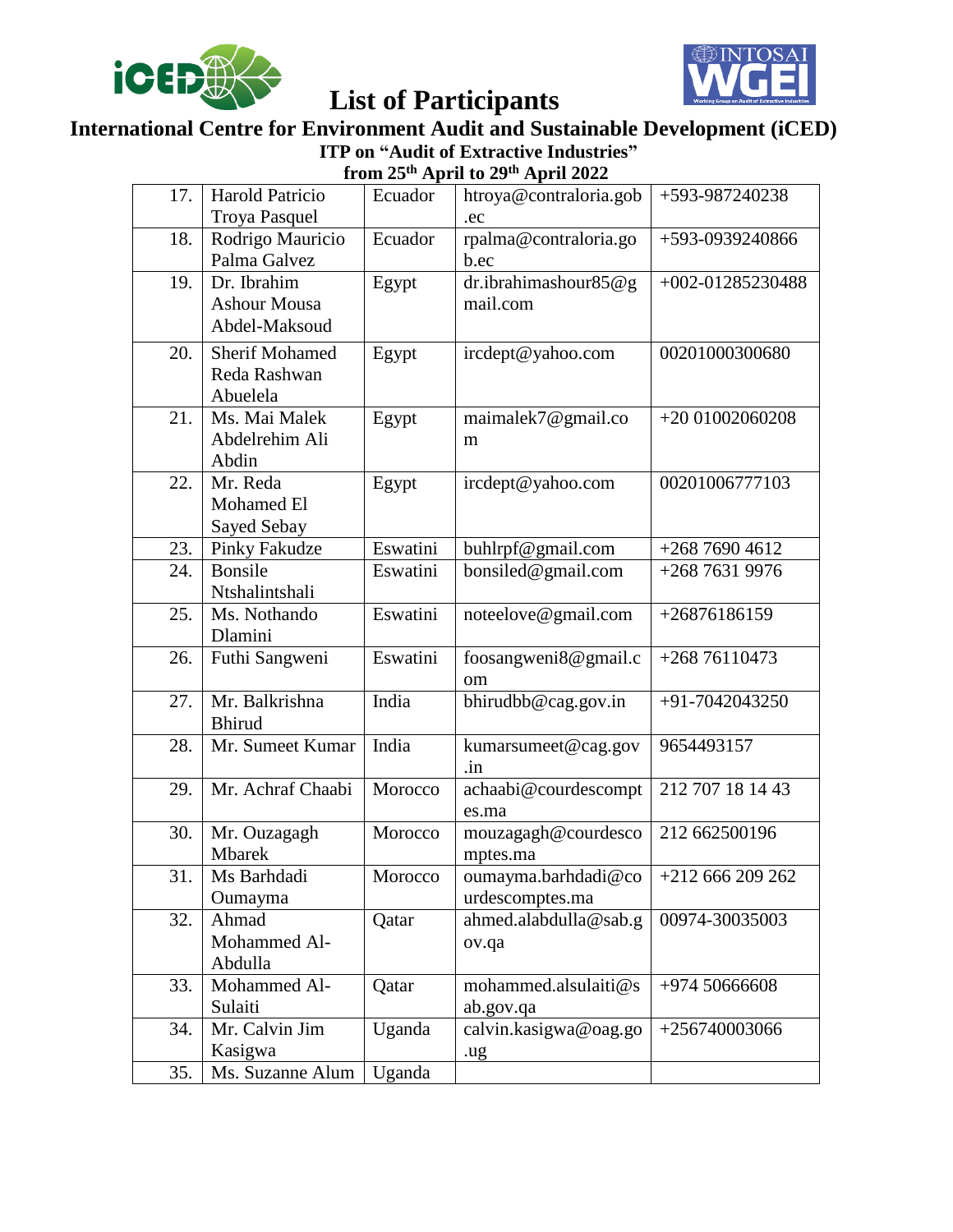



#### **International Centre for Environment Audit and Sustainable Development (iCED) ITP on "Audit of Extractive Industries" from 25th April to 29th April 2022**

| 17. | Harold Patricio       |          | $11$ om 20 $1$ spin to 27 $1$ spin 2022 |                  |
|-----|-----------------------|----------|-----------------------------------------|------------------|
|     |                       | Ecuador  | htroya@contraloria.gob                  | +593-987240238   |
|     | <b>Troya Pasquel</b>  |          | .ec                                     |                  |
| 18. | Rodrigo Mauricio      | Ecuador  | rpalma@contraloria.go                   | +593-0939240866  |
|     | Palma Galvez          |          | b.ec                                    |                  |
| 19. | Dr. Ibrahim           | Egypt    | dr.ibrahimashour85@g                    | +002-01285230488 |
|     | <b>Ashour Mousa</b>   |          | mail.com                                |                  |
|     | Abdel-Maksoud         |          |                                         |                  |
| 20. | <b>Sherif Mohamed</b> | Egypt    | ircdept@yahoo.com                       | 00201000300680   |
|     | Reda Rashwan          |          |                                         |                  |
|     | Abuelela              |          |                                         |                  |
| 21. | Ms. Mai Malek         | Egypt    | maimalek7@gmail.co                      | $+2001002060208$ |
|     | Abdelrehim Ali        |          | m                                       |                  |
|     | Abdin                 |          |                                         |                  |
| 22. | Mr. Reda              | Egypt    | ircdept@yahoo.com                       | 00201006777103   |
|     | Mohamed El            |          |                                         |                  |
|     | Sayed Sebay           |          |                                         |                  |
| 23. | <b>Pinky Fakudze</b>  | Eswatini | buhlrpf@gmail.com                       | $+26876904612$   |
| 24. | <b>Bonsile</b>        | Eswatini | bonsiled@gmail.com                      | +268 7631 9976   |
|     | Ntshalintshali        |          |                                         |                  |
| 25. | Ms. Nothando          | Eswatini | noteelove@gmail.com                     | $+26876186159$   |
|     | Dlamini               |          |                                         |                  |
| 26. | Futhi Sangweni        | Eswatini | foosangweni8@gmail.c                    | $+26876110473$   |
|     |                       |          | om                                      |                  |
| 27. | Mr. Balkrishna        | India    | bhirudbb@cag.gov.in                     | +91-7042043250   |
|     | <b>Bhirud</b>         |          |                                         |                  |
| 28. | Mr. Sumeet Kumar      | India    | kumarsumeet@cag.gov                     | 9654493157       |
|     |                       |          | .in                                     |                  |
| 29. | Mr. Achraf Chaabi     | Morocco  | achaabi@courdescompt                    | 212 707 18 14 43 |
|     |                       |          | es.ma                                   |                  |
| 30. | Mr. Ouzagagh          | Morocco  | mouzagagh@courdesco                     | 212 662500196    |
|     | Mbarek                |          | mptes.ma                                |                  |
| 31. | Ms Barhdadi           | Morocco  | oumayma.barhdadi@co                     | $+212666209262$  |
|     | Oumayma               |          | urdescomptes.ma                         |                  |
| 32. | Ahmad                 | Qatar    | ahmed.alabdulla@sab.g                   | 00974-30035003   |
|     | Mohammed Al-          |          | ov.qa                                   |                  |
|     | Abdulla               |          |                                         |                  |
| 33. | Mohammed Al-          | Qatar    | mohammed.alsulaiti@s                    | $+9745066608$    |
|     | Sulaiti               |          | ab.gov.qa                               |                  |
| 34. | Mr. Calvin Jim        | Uganda   | calvin.kasigwa@oag.go                   | $+256740003066$  |
|     | Kasigwa               |          | .ug                                     |                  |
| 35. | Ms. Suzanne Alum      | Uganda   |                                         |                  |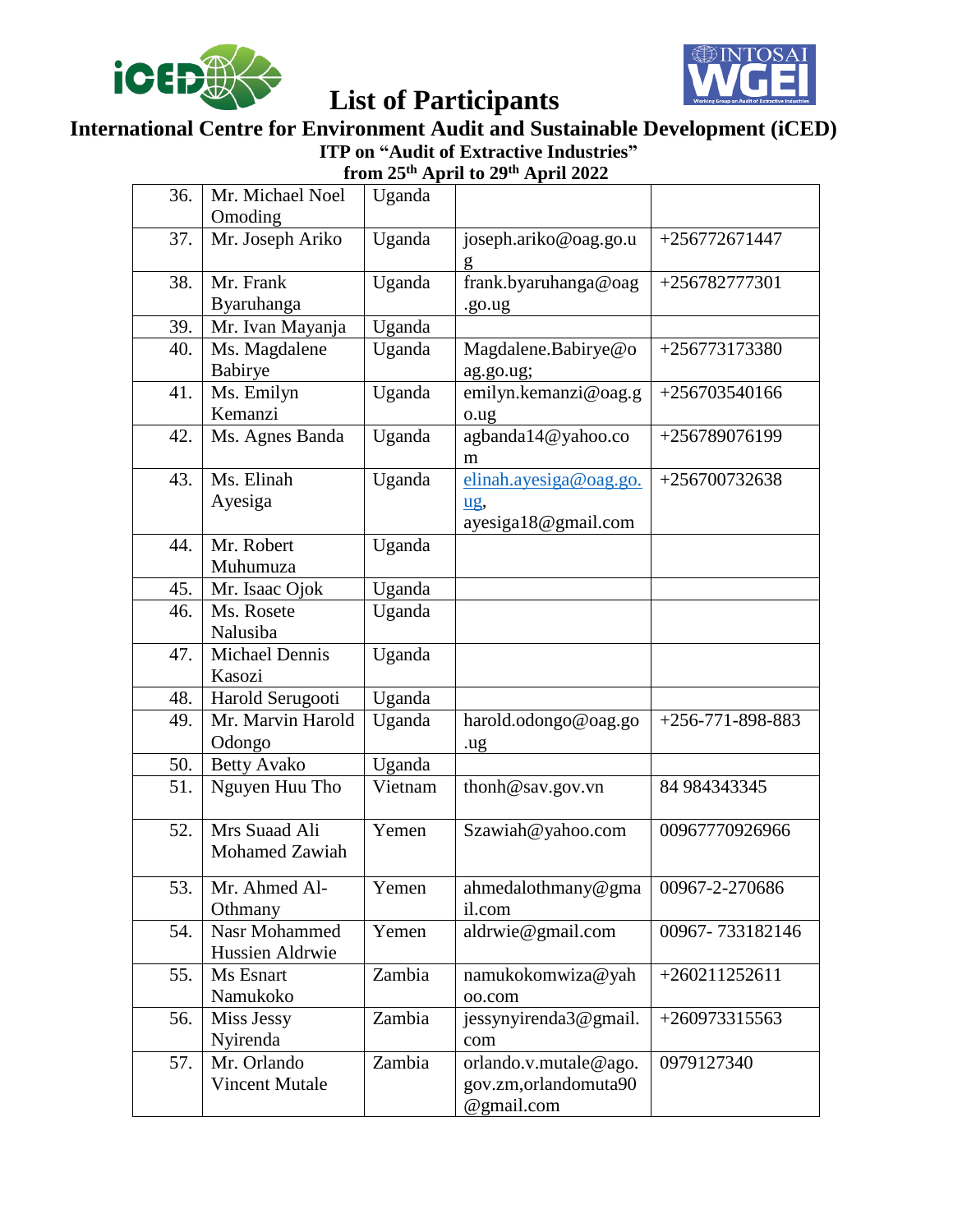



#### **International Centre for Environment Audit and Sustainable Development (iCED) ITP on "Audit of Extractive Industries" from 25th April to 29th April 2022**

| 36. | Mr. Michael Noel                       | Uganda  |                             |                                |
|-----|----------------------------------------|---------|-----------------------------|--------------------------------|
|     | Omoding                                |         |                             |                                |
| 37. | Mr. Joseph Ariko                       | Uganda  | joseph.ariko@oag.go.u<br>g  | $+256772671447$                |
| 38. | Mr. Frank                              | Uganda  | frank.byaruhanga@oag        | +256782777301                  |
|     | Byaruhanga                             |         | .go.ug                      |                                |
| 39. | Mr. Ivan Mayanja                       | Uganda  |                             |                                |
| 40. | Ms. Magdalene                          | Uganda  | Magdalene.Babirye@o         | $+256773173380$                |
|     | Babirye                                |         | ag.go.ug;                   |                                |
| 41. | Ms. Emilyn                             | Uganda  | emilyn.kemanzi@oag.g        | $+256703540166$                |
|     | Kemanzi                                |         | o.ug                        |                                |
| 42. | Ms. Agnes Banda                        | Uganda  | agbanda14@yahoo.co          | +256789076199                  |
|     |                                        |         | m                           |                                |
| 43. | Ms. Elinah                             | Uganda  | elinah.ayesiga@oag.go.      | $+256700732638$                |
|     | Ayesiga                                |         | ug,                         |                                |
|     |                                        |         | ayesiga18@gmail.com         |                                |
| 44. | Mr. Robert                             | Uganda  |                             |                                |
|     | Muhumuza                               |         |                             |                                |
| 45. | Mr. Isaac Ojok                         | Uganda  |                             |                                |
| 46. | Ms. Rosete                             | Uganda  |                             |                                |
|     | Nalusiba                               |         |                             |                                |
| 47. | Michael Dennis                         | Uganda  |                             |                                |
|     | Kasozi                                 |         |                             |                                |
| 48. | Harold Serugooti                       | Uganda  |                             |                                |
| 49. | Mr. Marvin Harold                      | Uganda  | harold.odongo@oag.go        | $\overline{+256}$ -771-898-883 |
|     | Odongo                                 |         | .ug                         |                                |
| 50. | <b>Betty Avako</b>                     | Uganda  |                             |                                |
| 51. | Nguyen Huu Tho                         | Vietnam | thonh@sav.gov.vn            | 84 984343345                   |
| 52. | Mrs Suaad Ali<br><b>Mohamed Zawiah</b> | Yemen   | Szawiah@yahoo.com           | 00967770926966                 |
|     |                                        |         |                             |                                |
| 53. | Mr. Ahmed Al-                          | Yemen   | ahmedalothmany@gma          | 00967-2-270686                 |
| 54. | Othmany<br>Nasr Mohammed               | Yemen   | il.com<br>aldrwie@gmail.com | 00967-733182146                |
|     | Hussien Aldrwie                        |         |                             |                                |
| 55. | Ms Esnart                              | Zambia  | namukokomwiza@yah           | $+260211252611$                |
|     | Namukoko                               |         | oo.com                      |                                |
| 56. | Miss Jessy                             | Zambia  | jessynyirenda3@gmail.       | $+260973315563$                |
|     | Nyirenda                               |         | com                         |                                |
| 57. | Mr. Orlando                            | Zambia  | orlando.v.mutale@ago.       | 0979127340                     |
|     | <b>Vincent Mutale</b>                  |         | gov.zm, orlandomuta90       |                                |
|     |                                        |         | @gmail.com                  |                                |